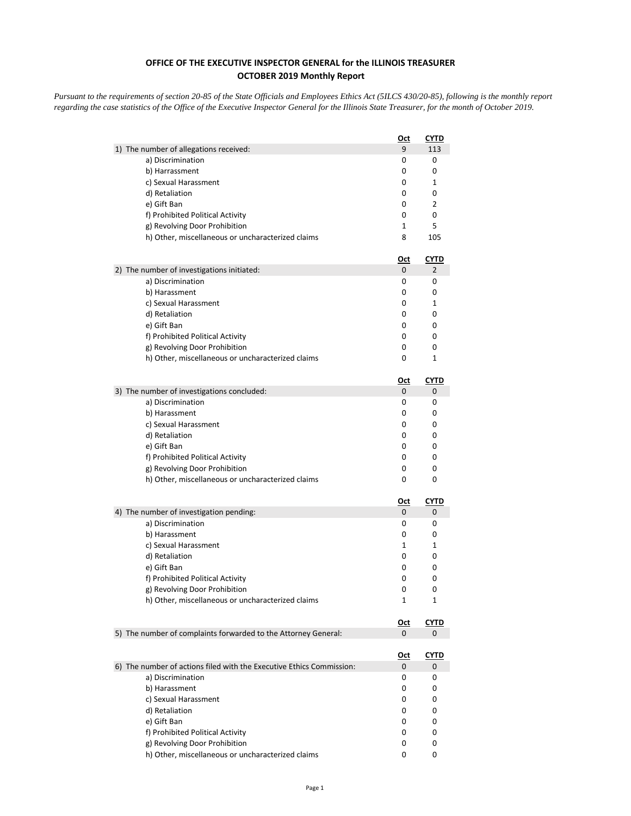## **OFFICE OF THE EXECUTIVE INSPECTOR GENERAL for the ILLINOIS TREASURER OCTOBER 2019 Monthly Report**

*Pursuant to the requirements of section 20-85 of the State Officials and Employees Ethics Act (5ILCS 430/20-85), following is the monthly report regarding the case statistics of the Office of the Executive Inspector General for the Illinois State Treasurer, for the month of October 2019.* 

|                                                                      | <u>Oct</u> | <u>CYTD</u> |
|----------------------------------------------------------------------|------------|-------------|
| 1) The number of allegations received:                               | 9          | 113         |
| a) Discrimination                                                    | 0          | 0           |
| b) Harrassment                                                       | 0          | 0           |
| c) Sexual Harassment                                                 | 0          | 1           |
| d) Retaliation                                                       | 0          | 0           |
| e) Gift Ban                                                          | 0          | 2           |
| f) Prohibited Political Activity                                     | 0          | 0           |
| g) Revolving Door Prohibition                                        | 1          | 5           |
| h) Other, miscellaneous or uncharacterized claims                    | 8          | 105         |
|                                                                      | <u>Oct</u> | <u>CYTD</u> |
| 2) The number of investigations initiated:                           | 0          | 2           |
| a) Discrimination                                                    | 0          | 0           |
| b) Harassment                                                        | 0          | 0           |
| c) Sexual Harassment                                                 | 0          | 1           |
| d) Retaliation                                                       | 0          | 0           |
| e) Gift Ban                                                          | 0          | 0           |
| f) Prohibited Political Activity                                     | 0          | 0           |
| g) Revolving Door Prohibition                                        | 0          | 0           |
| h) Other, miscellaneous or uncharacterized claims                    | 0          | 1           |
|                                                                      | <u>Oct</u> | CYTD        |
| 3) The number of investigations concluded:                           | 0          | 0           |
| a) Discrimination                                                    | 0          | 0           |
| b) Harassment                                                        | 0          | 0           |
| c) Sexual Harassment                                                 | 0          | 0           |
| d) Retaliation                                                       | 0          | 0           |
| e) Gift Ban                                                          | 0          | 0           |
| f) Prohibited Political Activity                                     | 0          | 0           |
| g) Revolving Door Prohibition                                        | 0          | 0           |
| h) Other, miscellaneous or uncharacterized claims                    | 0          | 0           |
|                                                                      | <u>Oct</u> | <u>CYTD</u> |
| 4) The number of investigation pending:                              | 0          | 0           |
| a) Discrimination                                                    | 0          | 0           |
| b) Harassment                                                        | 0          | 0           |
| c) Sexual Harassment                                                 | 1          | 1           |
| d) Retaliation                                                       | 0          | 0           |
| e) Gift Ban                                                          | 0          | 0           |
| f) Prohibited Political Activity                                     | 0          | 0           |
| g) Revolving Door Prohibition                                        | 0          | 0           |
| h) Other, miscellaneous or uncharacterized claims                    | 1          | 1           |
|                                                                      | <u>Oct</u> | <b>CYTD</b> |
| 5) The number of complaints forwarded to the Attorney General:       | 0          | 0           |
|                                                                      | <u>Oct</u> | <u>CYTD</u> |
| 6) The number of actions filed with the Executive Ethics Commission: | 0          | 0           |
| a) Discrimination                                                    | 0          | 0           |
| b) Harassment                                                        | 0          | 0           |
| c) Sexual Harassment                                                 | 0          | 0           |
| d) Retaliation                                                       | 0          | 0           |
| e) Gift Ban                                                          | 0          | 0           |
| f) Prohibited Political Activity                                     | 0          | 0           |
| g) Revolving Door Prohibition                                        | 0          | 0           |
| h) Other, miscellaneous or uncharacterized claims                    | 0          | 0           |